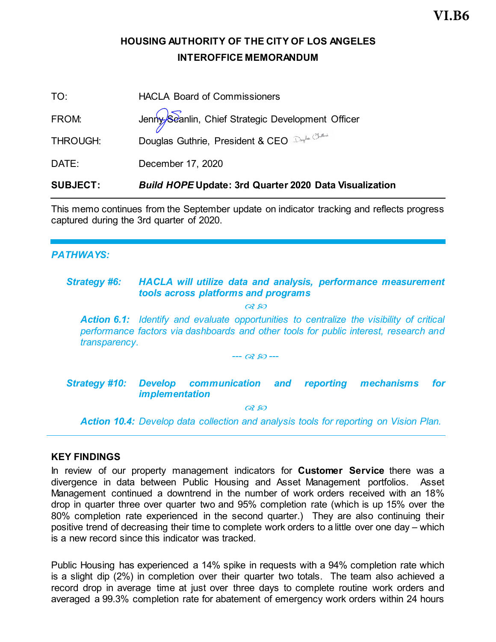# **HOUSING AUTHORITY OF THE CITY OF LOS ANGELES INTEROFFICE MEMORANDUM**

| <b>SUBJECT:</b> | <b>Build HOPE Update: 3rd Quarter 2020 Data Visualization</b>                                         |
|-----------------|-------------------------------------------------------------------------------------------------------|
| DATE:           | December 17, 2020                                                                                     |
| THROUGH:        |                                                                                                       |
| FROM:           | Jenny Seanlin, Chief Strategic Development Officer<br>Douglas Guthrie, President & CEO Derlin Officer |
| TO:             | <b>HACLA Board of Commissioners</b>                                                                   |

This memo continues from the September update on indicator tracking and reflects progress captured during the 3rd quarter of 2020.

### *PATHWAYS:*

#### *Strategy #6: HACLA will utilize data and analysis, performance measurement tools across platforms and programs*  $OR$   $RO$

*Action 6.1: Identify and evaluate opportunities to centralize the visibility of critical performance factors via dashboards and other tools for public interest, research and transparency.*

#### *--- ---*

### *Strategy #10: Develop communication and reporting mechanisms for implementation*

 $OR$   $RO$ 

*Action 10.4: Develop data collection and analysis tools for reporting on Vision Plan.*

#### **KEY FINDINGS**

In review of our property management indicators for **Customer Service** there was a divergence in data between Public Housing and Asset Management portfolios. Asset Management continued a downtrend in the number of work orders received with an 18% drop in quarter three over quarter two and 95% completion rate (which is up 15% over the 80% completion rate experienced in the second quarter.) They are also continuing their positive trend of decreasing their time to complete work orders to a little over one day – which is a new record since this indicator was tracked.

Public Housing has experienced a 14% spike in requests with a 94% completion rate which is a slight dip (2%) in completion over their quarter two totals. The team also achieved a record drop in average time at just over three days to complete routine work orders and averaged a 99.3% completion rate for abatement of emergency work orders within 24 hours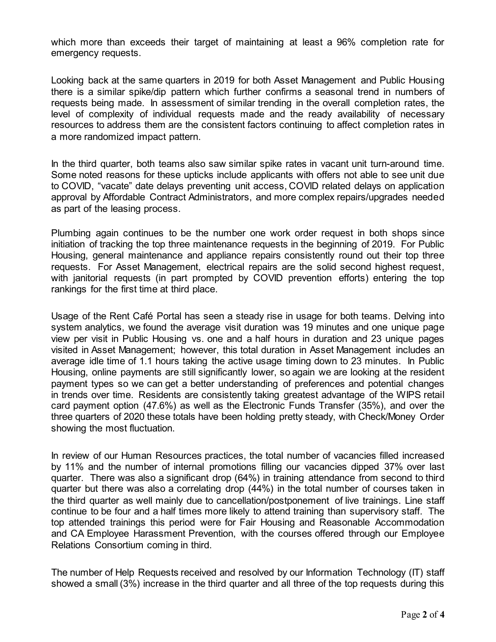which more than exceeds their target of maintaining at least a 96% completion rate for emergency requests.

Looking back at the same quarters in 2019 for both Asset Management and Public Housing there is a similar spike/dip pattern which further confirms a seasonal trend in numbers of requests being made. In assessment of similar trending in the overall completion rates, the level of complexity of individual requests made and the ready availability of necessary resources to address them are the consistent factors continuing to affect completion rates in a more randomized impact pattern.

In the third quarter, both teams also saw similar spike rates in vacant unit turn-around time. Some noted reasons for these upticks include applicants with offers not able to see unit due to COVID, "vacate" date delays preventing unit access, COVID related delays on application approval by Affordable Contract Administrators, and more complex repairs/upgrades needed as part of the leasing process.

Plumbing again continues to be the number one work order request in both shops since initiation of tracking the top three maintenance requests in the beginning of 2019. For Public Housing, general maintenance and appliance repairs consistently round out their top three requests. For Asset Management, electrical repairs are the solid second highest request, with janitorial requests (in part prompted by COVID prevention efforts) entering the top rankings for the first time at third place.

Usage of the Rent Café Portal has seen a steady rise in usage for both teams. Delving into system analytics, we found the average visit duration was 19 minutes and one unique page view per visit in Public Housing vs. one and a half hours in duration and 23 unique pages visited in Asset Management; however, this total duration in Asset Management includes an average idle time of 1.1 hours taking the active usage timing down to 23 minutes. In Public Housing, online payments are still significantly lower, so again we are looking at the resident payment types so we can get a better understanding of preferences and potential changes in trends over time. Residents are consistently taking greatest advantage of the WIPS retail card payment option (47.6%) as well as the Electronic Funds Transfer (35%), and over the three quarters of 2020 these totals have been holding pretty steady, with Check/Money Order showing the most fluctuation.

In review of our Human Resources practices, the total number of vacancies filled increased by 11% and the number of internal promotions filling our vacancies dipped 37% over last quarter. There was also a significant drop (64%) in training attendance from second to third quarter but there was also a correlating drop (44%) in the total number of courses taken in the third quarter as well mainly due to cancellation/postponement of live trainings. Line staff continue to be four and a half times more likely to attend training than supervisory staff. The top attended trainings this period were for Fair Housing and Reasonable Accommodation and CA Employee Harassment Prevention, with the courses offered through our Employee Relations Consortium coming in third.

The number of Help Requests received and resolved by our Information Technology (IT) staff showed a small (3%) increase in the third quarter and all three of the top requests during this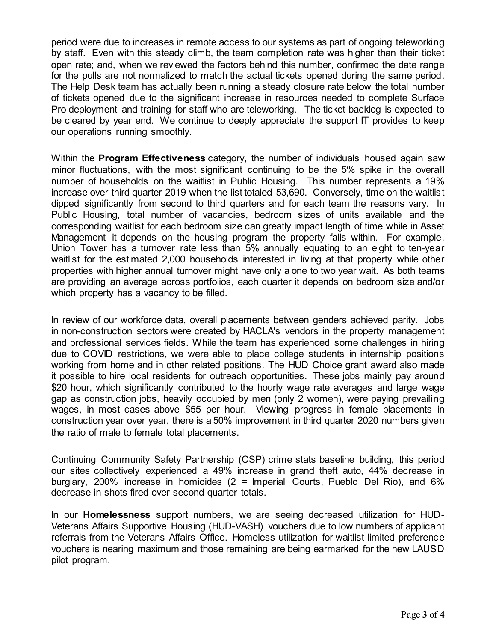period were due to increases in remote access to our systems as part of ongoing teleworking by staff. Even with this steady climb, the team completion rate was higher than their ticket open rate; and, when we reviewed the factors behind this number, confirmed the date range for the pulls are not normalized to match the actual tickets opened during the same period. The Help Desk team has actually been running a steady closure rate below the total number of tickets opened due to the significant increase in resources needed to complete Surface Pro deployment and training for staff who are teleworking. The ticket backlog is expected to be cleared by year end. We continue to deeply appreciate the support IT provides to keep our operations running smoothly.

Within the **Program Effectiveness** category, the number of individuals housed again saw minor fluctuations, with the most significant continuing to be the 5% spike in the overall number of households on the waitlist in Public Housing. This number represents a 19% increase over third quarter 2019 when the list totaled 53,690. Conversely, time on the waitlist dipped significantly from second to third quarters and for each team the reasons vary. In Public Housing, total number of vacancies, bedroom sizes of units available and the corresponding waitlist for each bedroom size can greatly impact length of time while in Asset Management it depends on the housing program the property falls within. For example, Union Tower has a turnover rate less than 5% annually equating to an eight to ten-year waitlist for the estimated 2,000 households interested in living at that property while other properties with higher annual turnover might have only a one to two year wait. As both teams are providing an average across portfolios, each quarter it depends on bedroom size and/or which property has a vacancy to be filled.

In review of our workforce data, overall placements between genders achieved parity. Jobs in non-construction sectors were created by HACLA's vendors in the property management and professional services fields. While the team has experienced some challenges in hiring due to COVID restrictions, we were able to place college students in internship positions working from home and in other related positions. The HUD Choice grant award also made it possible to hire local residents for outreach opportunities. These jobs mainly pay around \$20 hour, which significantly contributed to the hourly wage rate averages and large wage gap as construction jobs, heavily occupied by men (only 2 women), were paying prevailing wages, in most cases above \$55 per hour. Viewing progress in female placements in construction year over year, there is a 50% improvement in third quarter 2020 numbers given the ratio of male to female total placements.

Continuing Community Safety Partnership (CSP) crime stats baseline building, this period our sites collectively experienced a 49% increase in grand theft auto, 44% decrease in burglary, 200% increase in homicides (2 = Imperial Courts, Pueblo Del Rio), and 6% decrease in shots fired over second quarter totals.

In our **Homelessness** support numbers, we are seeing decreased utilization for HUD-Veterans Affairs Supportive Housing (HUD-VASH) vouchers due to low numbers of applicant referrals from the Veterans Affairs Office. Homeless utilization for waitlist limited preference vouchers is nearing maximum and those remaining are being earmarked for the new LAUSD pilot program.